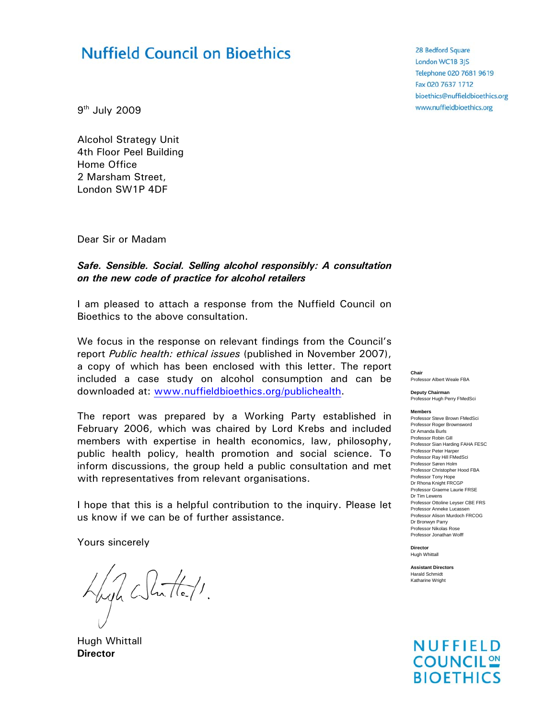# **Nuffield Council on Bioethics**

9th July 2009

Alcohol Strategy Unit 4th Floor Peel Building Home Office 2 Marsham Street, London SW1P 4DF

Dear Sir or Madam

#### *Safe. Sensible. Social. Selling alcohol responsibly: A consultation on the new code of practice for alcohol retailers*

I am pleased to attach a response from the Nuffield Council on Bioethics to the above consultation.

We focus in the response on relevant findings from the Council's report *Public health: ethical issues* (published in November 2007), a copy of which has been enclosed with this letter. The report included a case study on alcohol consumption and can be downloaded at: www.nuffieldbioethics.org/publichealth.

The report was prepared by a Working Party established in February 2006, which was chaired by Lord Krebs and included members with expertise in health economics, law, philosophy, public health policy, health promotion and social science. To inform discussions, the group held a public consultation and met with representatives from relevant organisations.

I hope that this is a helpful contribution to the inquiry. Please let us know if we can be of further assistance.

Yours sincerely

Vigh White/1.

Hugh Whittall **Director** 

28 Bedford Square London WC1B 3JS Telephone 020 7681 9619 Fax 020 7637 1712 bioethics@nuffieldbioethics.org www.nuffieldbioethics.org

**Chair**  Professor Albert Weale FBA

**Deputy Chairman**  Professor Hugh Perry FMedSci

**Members**

Professor Steve Brown FMedSci Professor Roger Brownsword Dr Amanda Burls Professor Robin Gill Professor Sian Harding FAHA FESC Professor Peter Harper Professor Ray Hill FMedSci Professor Søren Holm Professor Christopher Hood FBA Professor Tony Hope Dr Rhona Knight FRCGP Professor Graeme Laurie FRSE Dr Tim Lewens Professor Ottoline Leyser CBE FRS Professor Anneke Lucassen Professor Alison Murdoch FRCOG Dr Bronwyn Parry Professor Nikolas Rose Professor Jonathan Wolff

**Director**  Hugh Whittall

**Assistant Directors**  Harald Schmidt Katharine Wright

**NUFFIELD COUNCIL** <u>ON</u> **BIOETHICS**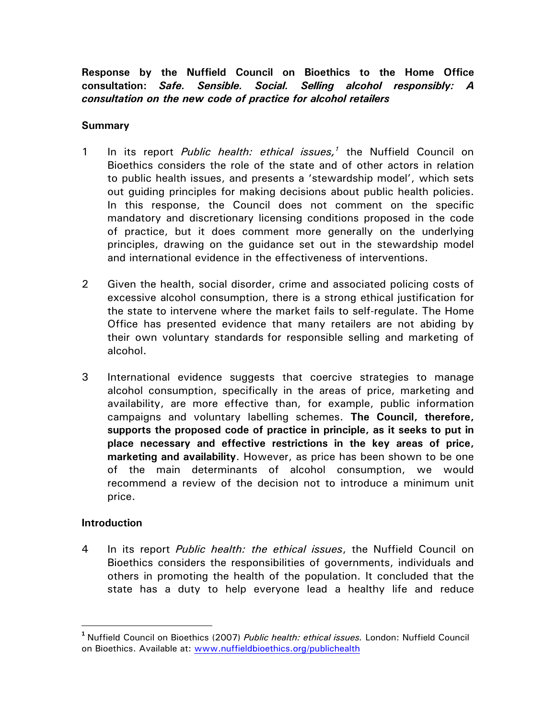**Response by the Nuffield Council on Bioethics to the Home Office consultation:** *Safe. Sensible. Social. Selling alcohol responsibly: A consultation on the new code of practice for alcohol retailers*

#### **Summary**

- 1 In its report *Public health: ethical issues*,<sup>1</sup> the Nuffield Council on Bioethics considers the role of the state and of other actors in relation to public health issues, and presents a 'stewardship model', which sets out guiding principles for making decisions about public health policies. In this response, the Council does not comment on the specific mandatory and discretionary licensing conditions proposed in the code of practice, but it does comment more generally on the underlying principles, drawing on the guidance set out in the stewardship model and international evidence in the effectiveness of interventions.
- 2 Given the health, social disorder, crime and associated policing costs of excessive alcohol consumption, there is a strong ethical justification for the state to intervene where the market fails to self-regulate. The Home Office has presented evidence that many retailers are not abiding by their own voluntary standards for responsible selling and marketing of alcohol.
- 3 International evidence suggests that coercive strategies to manage alcohol consumption, specifically in the areas of price, marketing and availability, are more effective than, for example, public information campaigns and voluntary labelling schemes. **The Council, therefore, supports the proposed code of practice in principle, as it seeks to put in place necessary and effective restrictions in the key areas of price, marketing and availability**. However, as price has been shown to be one of the main determinants of alcohol consumption, we would recommend a review of the decision not to introduce a minimum unit price.

### **Introduction**

4 In its report *Public health: the ethical issues*, the Nuffield Council on Bioethics considers the responsibilities of governments, individuals and others in promoting the health of the population. It concluded that the state has a duty to help everyone lead a healthy life and reduce

**<sup>1</sup>** Nuffield Council on Bioethics (2007) *Public health: ethical issues.* London: Nuffield Council on Bioethics. Available at: www.nuffieldbioethics.org/publichealth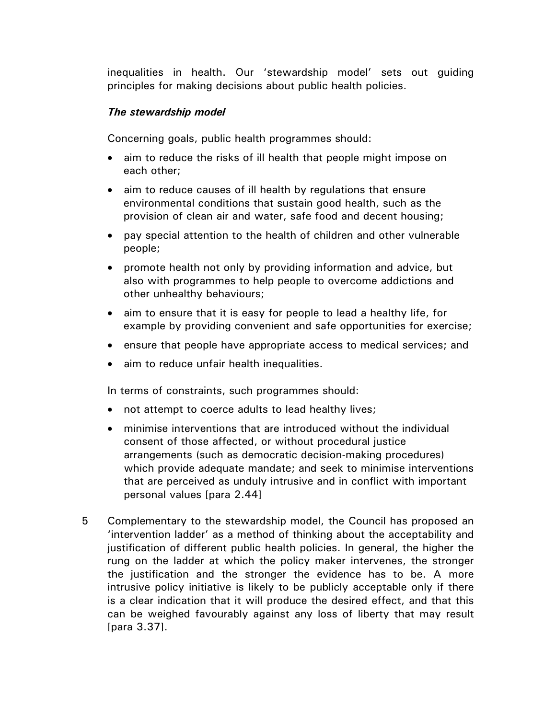inequalities in health. Our 'stewardship model' sets out guiding principles for making decisions about public health policies.

### *The stewardship model*

Concerning goals, public health programmes should:

- aim to reduce the risks of ill health that people might impose on each other;
- aim to reduce causes of ill health by regulations that ensure environmental conditions that sustain good health, such as the provision of clean air and water, safe food and decent housing;
- pay special attention to the health of children and other vulnerable people;
- promote health not only by providing information and advice, but also with programmes to help people to overcome addictions and other unhealthy behaviours;
- aim to ensure that it is easy for people to lead a healthy life, for example by providing convenient and safe opportunities for exercise;
- ensure that people have appropriate access to medical services; and
- aim to reduce unfair health inequalities.

In terms of constraints, such programmes should:

- not attempt to coerce adults to lead healthy lives;
- minimise interventions that are introduced without the individual consent of those affected, or without procedural justice arrangements (such as democratic decision-making procedures) which provide adequate mandate; and seek to minimise interventions that are perceived as unduly intrusive and in conflict with important personal values [para 2.44]
- 5 Complementary to the stewardship model, the Council has proposed an 'intervention ladder' as a method of thinking about the acceptability and justification of different public health policies. In general, the higher the rung on the ladder at which the policy maker intervenes, the stronger the justification and the stronger the evidence has to be. A more intrusive policy initiative is likely to be publicly acceptable only if there is a clear indication that it will produce the desired effect, and that this can be weighed favourably against any loss of liberty that may result [para 3.37].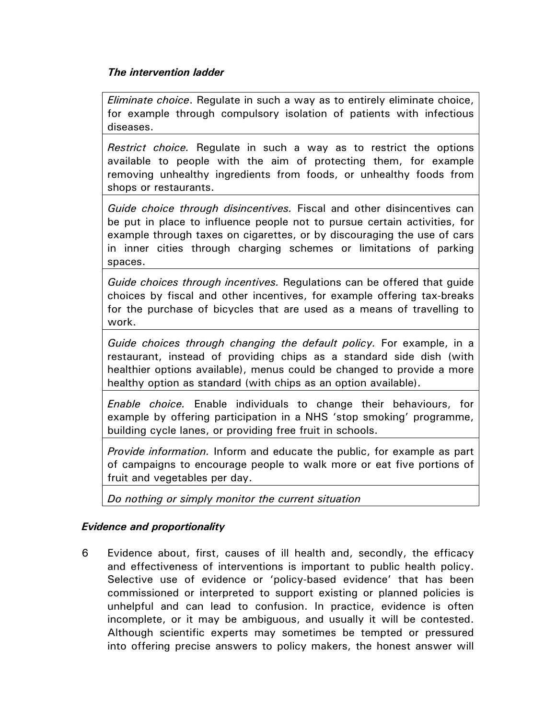## *The intervention ladder*

*Eliminate choice*. Regulate in such a way as to entirely eliminate choice, for example through compulsory isolation of patients with infectious diseases.

*Restrict choice.* Regulate in such a way as to restrict the options available to people with the aim of protecting them, for example removing unhealthy ingredients from foods, or unhealthy foods from shops or restaurants.

*Guide choice through disincentives.* Fiscal and other disincentives can be put in place to influence people not to pursue certain activities, for example through taxes on cigarettes, or by discouraging the use of cars in inner cities through charging schemes or limitations of parking spaces.

*Guide choices through incentives.* Regulations can be offered that guide choices by fiscal and other incentives, for example offering tax-breaks for the purchase of bicycles that are used as a means of travelling to work.

*Guide choices through changing the default policy.* For example, in a restaurant, instead of providing chips as a standard side dish (with healthier options available), menus could be changed to provide a more healthy option as standard (with chips as an option available).

*Enable choice.* Enable individuals to change their behaviours, for example by offering participation in a NHS 'stop smoking' programme, building cycle lanes, or providing free fruit in schools.

*Provide information.* Inform and educate the public, for example as part of campaigns to encourage people to walk more or eat five portions of fruit and vegetables per day.

*Do nothing or simply monitor the current situation*

# *Evidence and proportionality*

6 Evidence about, first, causes of ill health and, secondly, the efficacy and effectiveness of interventions is important to public health policy. Selective use of evidence or 'policy-based evidence' that has been commissioned or interpreted to support existing or planned policies is unhelpful and can lead to confusion. In practice, evidence is often incomplete, or it may be ambiguous, and usually it will be contested. Although scientific experts may sometimes be tempted or pressured into offering precise answers to policy makers, the honest answer will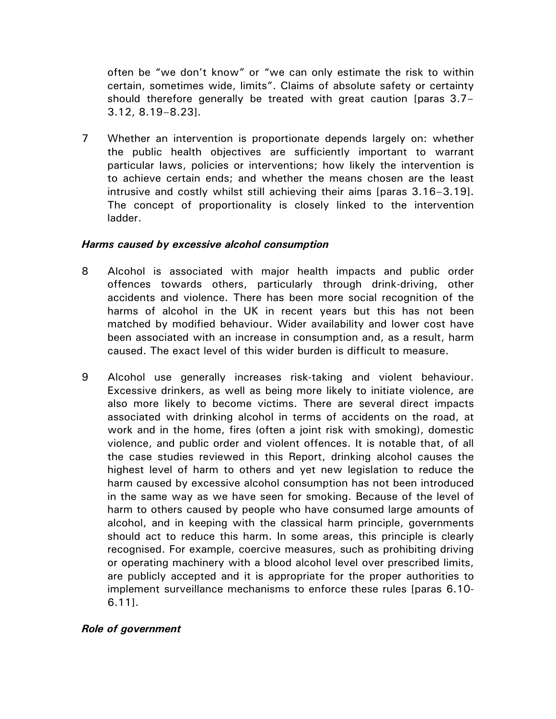often be "we don't know" or "we can only estimate the risk to within certain, sometimes wide, limits". Claims of absolute safety or certainty should therefore generally be treated with great caution [paras 3.7– 3.12, 8.19–8.23].

7 Whether an intervention is proportionate depends largely on: whether the public health objectives are sufficiently important to warrant particular laws, policies or interventions; how likely the intervention is to achieve certain ends; and whether the means chosen are the least intrusive and costly whilst still achieving their aims [paras 3.16–3.19]. The concept of proportionality is closely linked to the intervention ladder.

#### *Harms caused by excessive alcohol consumption*

- 8 Alcohol is associated with major health impacts and public order offences towards others, particularly through drink-driving, other accidents and violence. There has been more social recognition of the harms of alcohol in the UK in recent years but this has not been matched by modified behaviour. Wider availability and lower cost have been associated with an increase in consumption and, as a result, harm caused. The exact level of this wider burden is difficult to measure.
- 9 Alcohol use generally increases risk-taking and violent behaviour. Excessive drinkers, as well as being more likely to initiate violence, are also more likely to become victims. There are several direct impacts associated with drinking alcohol in terms of accidents on the road, at work and in the home, fires (often a joint risk with smoking), domestic violence, and public order and violent offences. It is notable that, of all the case studies reviewed in this Report, drinking alcohol causes the highest level of harm to others and yet new legislation to reduce the harm caused by excessive alcohol consumption has not been introduced in the same way as we have seen for smoking. Because of the level of harm to others caused by people who have consumed large amounts of alcohol, and in keeping with the classical harm principle, governments should act to reduce this harm. In some areas, this principle is clearly recognised. For example, coercive measures, such as prohibiting driving or operating machinery with a blood alcohol level over prescribed limits, are publicly accepted and it is appropriate for the proper authorities to implement surveillance mechanisms to enforce these rules [paras 6.10- 6.11].

### *Role of government*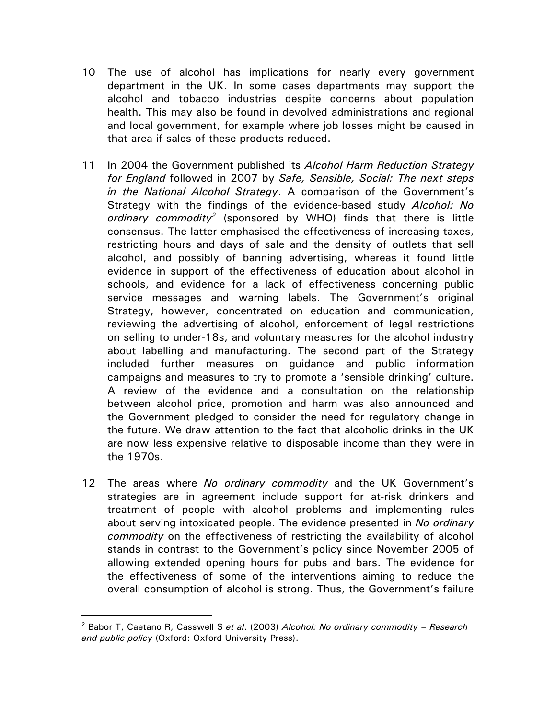- 10 The use of alcohol has implications for nearly every government department in the UK. In some cases departments may support the alcohol and tobacco industries despite concerns about population health. This may also be found in devolved administrations and regional and local government, for example where job losses might be caused in that area if sales of these products reduced.
- 11 In 2004 the Government published its *Alcohol Harm Reduction Strategy for England* followed in 2007 by *Safe, Sensible, Social: The next steps in the National Alcohol Strategy*. A comparison of the Government's Strategy with the findings of the evidence-based study *Alcohol: No ordinary commodity2* (sponsored by WHO) finds that there is little consensus. The latter emphasised the effectiveness of increasing taxes, restricting hours and days of sale and the density of outlets that sell alcohol, and possibly of banning advertising, whereas it found little evidence in support of the effectiveness of education about alcohol in schools, and evidence for a lack of effectiveness concerning public service messages and warning labels. The Government's original Strategy, however, concentrated on education and communication, reviewing the advertising of alcohol, enforcement of legal restrictions on selling to under-18s, and voluntary measures for the alcohol industry about labelling and manufacturing. The second part of the Strategy included further measures on guidance and public information campaigns and measures to try to promote a 'sensible drinking' culture. A review of the evidence and a consultation on the relationship between alcohol price, promotion and harm was also announced and the Government pledged to consider the need for regulatory change in the future. We draw attention to the fact that alcoholic drinks in the UK are now less expensive relative to disposable income than they were in the 1970s.
- 12 The areas where *No ordinary commodity* and the UK Government's strategies are in agreement include support for at-risk drinkers and treatment of people with alcohol problems and implementing rules about serving intoxicated people. The evidence presented in *No ordinary commodity* on the effectiveness of restricting the availability of alcohol stands in contrast to the Government's policy since November 2005 of allowing extended opening hours for pubs and bars. The evidence for the effectiveness of some of the interventions aiming to reduce the overall consumption of alcohol is strong. Thus, the Government's failure

<sup>2</sup> Babor T, Caetano R, Casswell S *et al*. (2003) *Alcohol: No ordinary commodity – Research and public policy* (Oxford: Oxford University Press).